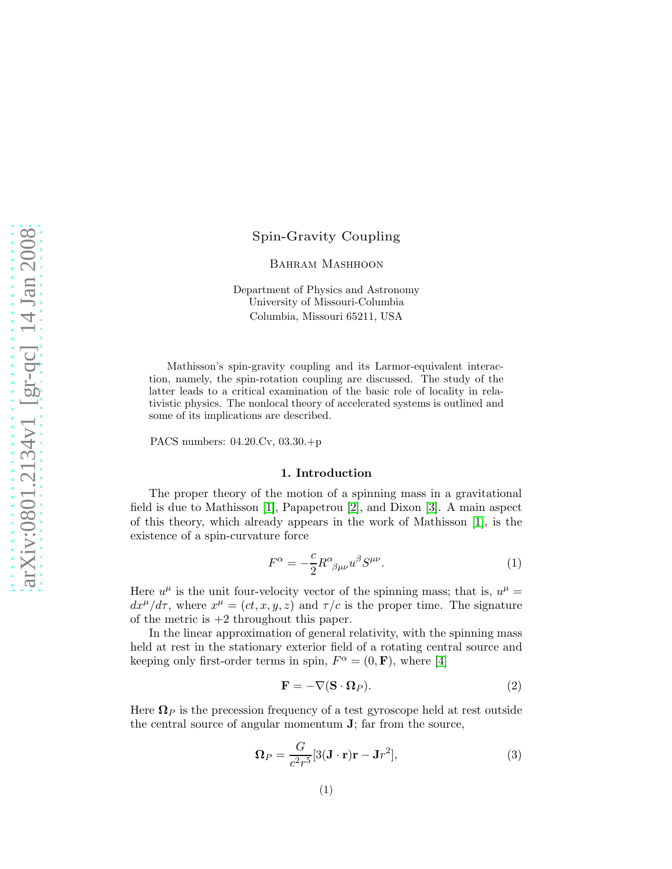# Spin-Gravity Coupling

BAHRAM MASHHOON

Department of Physics and Astronomy University of Missouri-Columbia Columbia, Missouri 65211, USA

Mathisson's spin-gravity coupling and its Larmor-equivalent interaction, namely, the spin-rotation coupling are discussed. The study of the latter leads to a critical examination of the basic role of locality in relativistic physics. The nonlocal theory of accelerated systems is outlined and some of its implications are described.

PACS numbers: 04.20.Cv, 03.30.+p

# 1. Introduction

The proper theory of the motion of a spinning mass in a gravitational field is due to Mathisson [\[1\]](#page-8-0), Papapetrou [\[2\]](#page-8-1), and Dixon [\[3\]](#page-8-2). A main aspect of this theory, which already appears in the work of Mathisson [\[1\]](#page-8-0), is the existence of a spin-curvature force

$$
F^{\alpha} = -\frac{c}{2} R^{\alpha}{}_{\beta\mu\nu} u^{\beta} S^{\mu\nu}.
$$
 (1)

Here  $u^{\mu}$  is the unit four-velocity vector of the spinning mass; that is,  $u^{\mu} =$  $dx^{\mu}/d\tau$ , where  $x^{\mu} = (ct, x, y, z)$  and  $\tau/c$  is the proper time. The signature of the metric is  $+2$  throughout this paper.

In the linear approximation of general relativity, with the spinning mass held at rest in the stationary exterior field of a rotating central source and keeping only first-order terms in spin,  $F^{\alpha} = (0, \mathbf{F})$ , where [\[4\]](#page-8-3)

<span id="page-0-0"></span>
$$
\mathbf{F} = -\nabla(\mathbf{S} \cdot \mathbf{\Omega}_P). \tag{2}
$$

Here  $\Omega_P$  is the precession frequency of a test gyroscope held at rest outside the central source of angular momentum J; far from the source,

$$
\Omega_P = \frac{G}{c^2 r^5} [3(\mathbf{J} \cdot \mathbf{r}) \mathbf{r} - \mathbf{J} r^2],\tag{3}
$$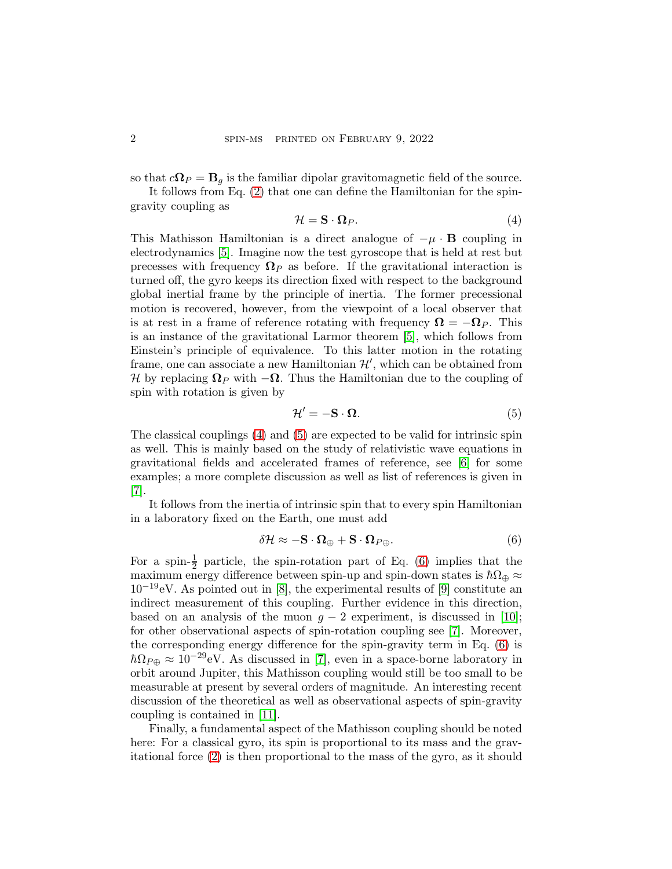so that  $c\Omega_P = \mathbf{B}_q$  is the familiar dipolar gravitomagnetic field of the source.

It follows from Eq. [\(2\)](#page-0-0) that one can define the Hamiltonian for the spingravity coupling as

<span id="page-1-0"></span>
$$
\mathcal{H} = \mathbf{S} \cdot \mathbf{\Omega}_P. \tag{4}
$$

This Mathisson Hamiltonian is a direct analogue of  $-\mu \cdot \mathbf{B}$  coupling in electrodynamics [\[5\]](#page-8-4). Imagine now the test gyroscope that is held at rest but precesses with frequency  $\Omega_P$  as before. If the gravitational interaction is turned off, the gyro keeps its direction fixed with respect to the background global inertial frame by the principle of inertia. The former precessional motion is recovered, however, from the viewpoint of a local observer that is at rest in a frame of reference rotating with frequency  $\mathbf{\Omega} = -\mathbf{\Omega}_P$ . This is an instance of the gravitational Larmor theorem [\[5\]](#page-8-4), which follows from Einstein's principle of equivalence. To this latter motion in the rotating frame, one can associate a new Hamiltonian  $\mathcal{H}'$ , which can be obtained from H by replacing  $\Omega_P$  with  $-\Omega$ . Thus the Hamiltonian due to the coupling of spin with rotation is given by

<span id="page-1-1"></span>
$$
\mathcal{H}' = -\mathbf{S} \cdot \mathbf{\Omega}.\tag{5}
$$

The classical couplings [\(4\)](#page-1-0) and [\(5\)](#page-1-1) are expected to be valid for intrinsic spin as well. This is mainly based on the study of relativistic wave equations in gravitational fields and accelerated frames of reference, see [\[6\]](#page-8-5) for some examples; a more complete discussion as well as list of references is given in [\[7\]](#page-8-6).

It follows from the inertia of intrinsic spin that to every spin Hamiltonian in a laboratory fixed on the Earth, one must add

<span id="page-1-2"></span>
$$
\delta \mathcal{H} \approx -\mathbf{S} \cdot \mathbf{\Omega}_{\oplus} + \mathbf{S} \cdot \mathbf{\Omega}_{P\oplus}. \tag{6}
$$

For a spin- $\frac{1}{2}$  particle, the spin-rotation part of Eq. [\(6\)](#page-1-2) implies that the maximum energy difference between spin-up and spin-down states is  $\hbar\Omega_{\oplus} \approx$  $10^{-19}$ eV. As pointed out in [\[8\]](#page-8-7), the experimental results of [\[9\]](#page-8-8) constitute an indirect measurement of this coupling. Further evidence in this direction, based on an analysis of the muon  $g - 2$  experiment, is discussed in [\[10\]](#page-8-9); for other observational aspects of spin-rotation coupling see [\[7\]](#page-8-6). Moreover, the corresponding energy difference for the spin-gravity term in Eq. [\(6\)](#page-1-2) is  $\hbar\Omega_{P\oplus} \approx 10^{-29}$  eV. As discussed in [\[7\]](#page-8-6), even in a space-borne laboratory in orbit around Jupiter, this Mathisson coupling would still be too small to be measurable at present by several orders of magnitude. An interesting recent discussion of the theoretical as well as observational aspects of spin-gravity coupling is contained in [\[11\]](#page-8-10).

Finally, a fundamental aspect of the Mathisson coupling should be noted here: For a classical gyro, its spin is proportional to its mass and the gravitational force [\(2\)](#page-0-0) is then proportional to the mass of the gyro, as it should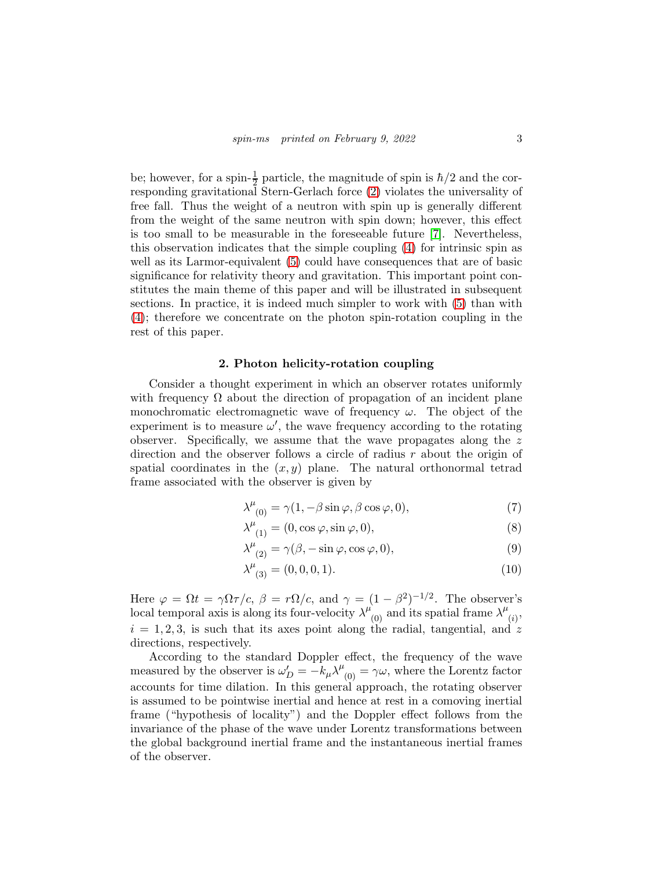be; however, for a spin- $\frac{1}{2}$  particle, the magnitude of spin is  $\hbar/2$  and the corresponding gravitational Stern-Gerlach force [\(2\)](#page-0-0) violates the universality of free fall. Thus the weight of a neutron with spin up is generally different from the weight of the same neutron with spin down; however, this effect is too small to be measurable in the foreseeable future [\[7\]](#page-8-6). Nevertheless, this observation indicates that the simple coupling [\(4\)](#page-1-0) for intrinsic spin as well as its Larmor-equivalent [\(5\)](#page-1-1) could have consequences that are of basic significance for relativity theory and gravitation. This important point constitutes the main theme of this paper and will be illustrated in subsequent sections. In practice, it is indeed much simpler to work with [\(5\)](#page-1-1) than with [\(4\)](#page-1-0); therefore we concentrate on the photon spin-rotation coupling in the rest of this paper.

# 2. Photon helicity-rotation coupling

<span id="page-2-0"></span>Consider a thought experiment in which an observer rotates uniformly with frequency  $\Omega$  about the direction of propagation of an incident plane monochromatic electromagnetic wave of frequency  $\omega$ . The object of the experiment is to measure  $\omega'$ , the wave frequency according to the rotating observer. Specifically, we assume that the wave propagates along the z direction and the observer follows a circle of radius  $r$  about the origin of spatial coordinates in the  $(x, y)$  plane. The natural orthonormal tetrad frame associated with the observer is given by

$$
\lambda^{\mu}_{(0)} = \gamma(1, -\beta \sin \varphi, \beta \cos \varphi, 0), \tag{7}
$$

$$
\lambda^{\mu}_{(1)} = (0, \cos \varphi, \sin \varphi, 0), \tag{8}
$$

$$
\lambda^{\mu}_{(2)} = \gamma(\beta, -\sin\varphi, \cos\varphi, 0),\tag{9}
$$

$$
\lambda^{\mu}_{(3)} = (0, 0, 0, 1). \tag{10}
$$

Here  $\varphi = \Omega t = \gamma \Omega \tau / c$ ,  $\beta = r \Omega / c$ , and  $\gamma = (1 - \beta^2)^{-1/2}$ . The observer's local temporal axis is along its four-velocity  $\lambda^{\mu}_{(0)}$  and its spatial frame  $\lambda^{\mu}$  $\dot{\left( i\right) }$  $i = 1, 2, 3$ , is such that its axes point along the radial, tangential, and z directions, respectively.

According to the standard Doppler effect, the frequency of the wave measured by the observer is  $\omega'_D = -k_\mu \lambda^\mu_{(0)} = \gamma \omega$ , where the Lorentz factor accounts for time dilation. In this general approach, the rotating observer is assumed to be pointwise inertial and hence at rest in a comoving inertial frame ("hypothesis of locality") and the Doppler effect follows from the invariance of the phase of the wave under Lorentz transformations between the global background inertial frame and the instantaneous inertial frames of the observer.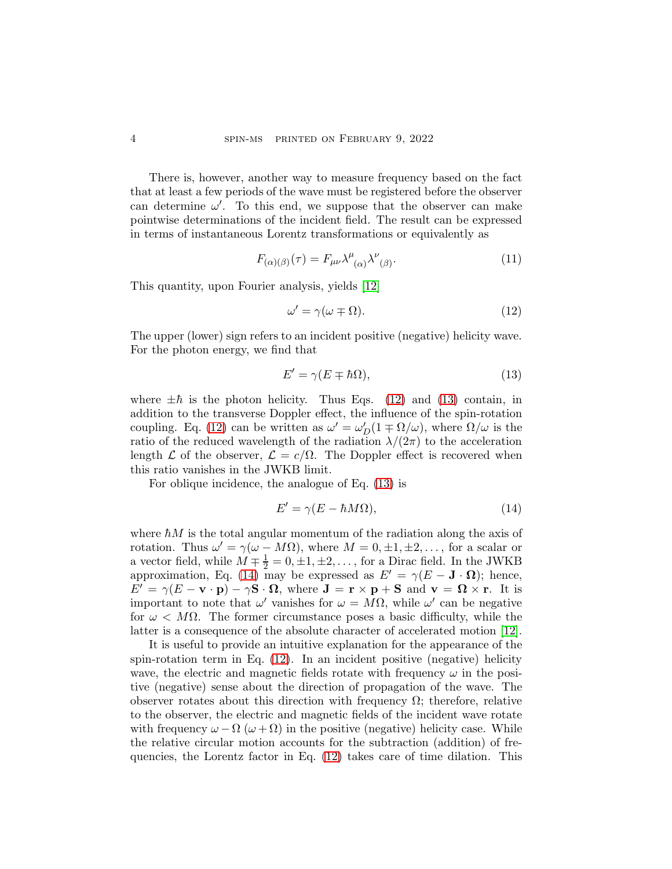There is, however, another way to measure frequency based on the fact that at least a few periods of the wave must be registered before the observer can determine  $\omega'$ . To this end, we suppose that the observer can make pointwise determinations of the incident field. The result can be expressed in terms of instantaneous Lorentz transformations or equivalently as

<span id="page-3-3"></span>
$$
F_{(\alpha)(\beta)}(\tau) = F_{\mu\nu} \lambda^{\mu}{}_{(\alpha)} \lambda^{\nu}{}_{(\beta)}.
$$
\n(11)

This quantity, upon Fourier analysis, yields [\[12\]](#page-8-11)

<span id="page-3-0"></span>
$$
\omega' = \gamma(\omega \mp \Omega). \tag{12}
$$

The upper (lower) sign refers to an incident positive (negative) helicity wave. For the photon energy, we find that

<span id="page-3-1"></span>
$$
E' = \gamma(E \mp \hbar \Omega),\tag{13}
$$

where  $\pm \hbar$  is the photon helicity. Thus Eqs. [\(12\)](#page-3-0) and [\(13\)](#page-3-1) contain, in addition to the transverse Doppler effect, the influence of the spin-rotation coupling. Eq. [\(12\)](#page-3-0) can be written as  $\omega' = \omega'_D(1 \mp \Omega/\omega)$ , where  $\Omega/\omega$  is the ratio of the reduced wavelength of the radiation  $\lambda/(2\pi)$  to the acceleration length  $\mathcal L$  of the observer,  $\mathcal L = c/\Omega$ . The Doppler effect is recovered when this ratio vanishes in the JWKB limit.

For oblique incidence, the analogue of Eq. [\(13\)](#page-3-1) is

<span id="page-3-2"></span>
$$
E' = \gamma (E - \hbar M \Omega), \tag{14}
$$

where  $\hbar M$  is the total angular momentum of the radiation along the axis of rotation. Thus  $\omega' = \gamma(\omega - M\Omega)$ , where  $M = 0, \pm 1, \pm 2, \dots$ , for a scalar or a vector field, while  $M \pm \frac{1}{2} = 0, \pm 1, \pm 2, \dots$ , for a Dirac field. In the JWKB approximation, Eq. [\(14\)](#page-3-2) may be expressed as  $E' = \gamma (E - \mathbf{J} \cdot \mathbf{\Omega})$ ; hence,  $E' = \gamma (E - \mathbf{v} \cdot \mathbf{p}) - \gamma \mathbf{S} \cdot \mathbf{\Omega}$ , where  $\mathbf{J} = \mathbf{r} \times \mathbf{p} + \mathbf{S}$  and  $\mathbf{v} = \mathbf{\Omega} \times \mathbf{r}$ . It is important to note that  $\omega'$  vanishes for  $\omega = M\Omega$ , while  $\omega'$  can be negative for  $\omega < M\Omega$ . The former circumstance poses a basic difficulty, while the latter is a consequence of the absolute character of accelerated motion [\[12\]](#page-8-11).

It is useful to provide an intuitive explanation for the appearance of the spin-rotation term in Eq.  $(12)$ . In an incident positive (negative) helicity wave, the electric and magnetic fields rotate with frequency  $\omega$  in the positive (negative) sense about the direction of propagation of the wave. The observer rotates about this direction with frequency  $\Omega$ ; therefore, relative to the observer, the electric and magnetic fields of the incident wave rotate with frequency  $\omega - \Omega$  ( $\omega + \Omega$ ) in the positive (negative) helicity case. While the relative circular motion accounts for the subtraction (addition) of frequencies, the Lorentz factor in Eq. [\(12\)](#page-3-0) takes care of time dilation. This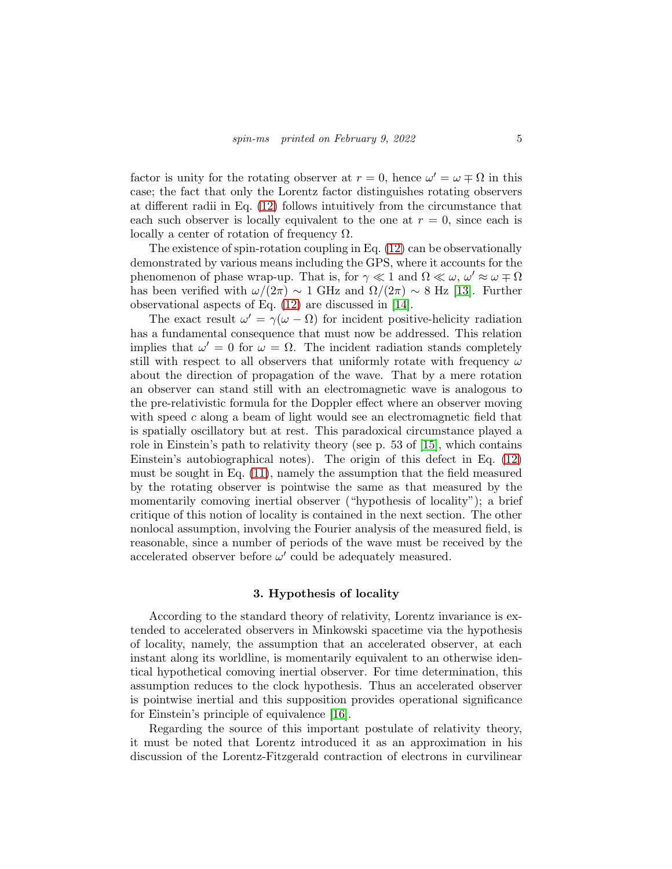factor is unity for the rotating observer at  $r = 0$ , hence  $\omega' = \omega \mp \Omega$  in this case; the fact that only the Lorentz factor distinguishes rotating observers at different radii in Eq. [\(12\)](#page-3-0) follows intuitively from the circumstance that each such observer is locally equivalent to the one at  $r = 0$ , since each is locally a center of rotation of frequency  $Ω$ .

The existence of spin-rotation coupling in Eq.  $(12)$  can be observationally demonstrated by various means including the GPS, where it accounts for the phenomenon of phase wrap-up. That is, for  $\gamma \ll 1$  and  $\Omega \ll \omega$ ,  $\omega' \approx \omega \mp \Omega$ has been verified with  $\omega/(2\pi) \sim 1$  GHz and  $\Omega/(2\pi) \sim 8$  Hz [\[13\]](#page-8-12). Further observational aspects of Eq. [\(12\)](#page-3-0) are discussed in [\[14\]](#page-8-13).

The exact result  $\omega' = \gamma(\omega - \Omega)$  for incident positive-helicity radiation has a fundamental consequence that must now be addressed. This relation implies that  $\omega' = 0$  for  $\omega = \Omega$ . The incident radiation stands completely still with respect to all observers that uniformly rotate with frequency  $\omega$ about the direction of propagation of the wave. That by a mere rotation an observer can stand still with an electromagnetic wave is analogous to the pre-relativistic formula for the Doppler effect where an observer moving with speed  $c$  along a beam of light would see an electromagnetic field that is spatially oscillatory but at rest. This paradoxical circumstance played a role in Einstein's path to relativity theory (see p. 53 of [\[15\]](#page-8-14), which contains Einstein's autobiographical notes). The origin of this defect in Eq. [\(12\)](#page-3-0) must be sought in Eq. [\(11\)](#page-3-3), namely the assumption that the field measured by the rotating observer is pointwise the same as that measured by the momentarily comoving inertial observer ("hypothesis of locality"); a brief critique of this notion of locality is contained in the next section. The other nonlocal assumption, involving the Fourier analysis of the measured field, is reasonable, since a number of periods of the wave must be received by the accelerated observer before  $\omega'$  could be adequately measured.

## 3. Hypothesis of locality

According to the standard theory of relativity, Lorentz invariance is extended to accelerated observers in Minkowski spacetime via the hypothesis of locality, namely, the assumption that an accelerated observer, at each instant along its worldline, is momentarily equivalent to an otherwise identical hypothetical comoving inertial observer. For time determination, this assumption reduces to the clock hypothesis. Thus an accelerated observer is pointwise inertial and this supposition provides operational significance for Einstein's principle of equivalence [\[16\]](#page-8-15).

Regarding the source of this important postulate of relativity theory, it must be noted that Lorentz introduced it as an approximation in his discussion of the Lorentz-Fitzgerald contraction of electrons in curvilinear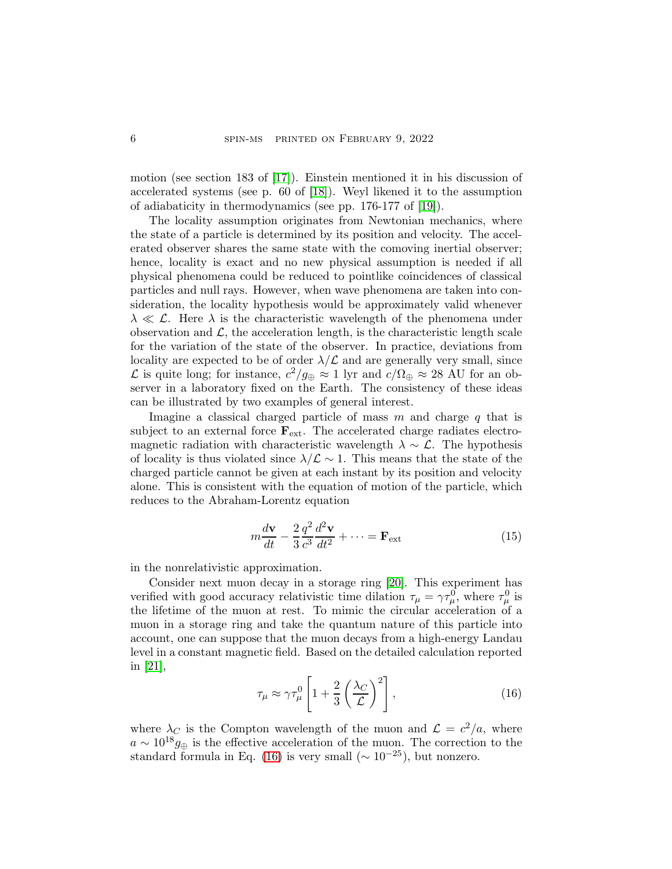motion (see section 183 of [\[17\]](#page-8-16)). Einstein mentioned it in his discussion of accelerated systems (see p. 60 of [\[18\]](#page-8-17)). Weyl likened it to the assumption of adiabaticity in thermodynamics (see pp. 176-177 of [\[19\]](#page-8-18)).

The locality assumption originates from Newtonian mechanics, where the state of a particle is determined by its position and velocity. The accelerated observer shares the same state with the comoving inertial observer; hence, locality is exact and no new physical assumption is needed if all physical phenomena could be reduced to pointlike coincidences of classical particles and null rays. However, when wave phenomena are taken into consideration, the locality hypothesis would be approximately valid whenever  $\lambda \ll \mathcal{L}$ . Here  $\lambda$  is the characteristic wavelength of the phenomena under observation and  $\mathcal{L}$ , the acceleration length, is the characteristic length scale for the variation of the state of the observer. In practice, deviations from locality are expected to be of order  $\lambda/\mathcal{L}$  and are generally very small, since L is quite long; for instance,  $c^2/g_{\oplus} \approx 1$  lyr and  $c/\Omega_{\oplus} \approx 28$  AU for an observer in a laboratory fixed on the Earth. The consistency of these ideas can be illustrated by two examples of general interest.

Imagine a classical charged particle of mass  $m$  and charge  $q$  that is subject to an external force  $\mathbf{F}_{ext}$ . The accelerated charge radiates electromagnetic radiation with characteristic wavelength  $\lambda \sim \mathcal{L}$ . The hypothesis of locality is thus violated since  $\lambda/\mathcal{L} \sim 1$ . This means that the state of the charged particle cannot be given at each instant by its position and velocity alone. This is consistent with the equation of motion of the particle, which reduces to the Abraham-Lorentz equation

$$
m\frac{d\mathbf{v}}{dt} - \frac{2}{3}\frac{q^2}{c^3}\frac{d^2\mathbf{v}}{dt^2} + \dots = \mathbf{F}_{\text{ext}}
$$
(15)

in the nonrelativistic approximation.

Consider next muon decay in a storage ring [\[20\]](#page-8-19). This experiment has verified with good accuracy relativistic time dilation  $\tau_{\mu} = \gamma \tau_{\mu}^0$ , where  $\tau_{\mu}^0$  is the lifetime of the muon at rest. To mimic the circular acceleration of a muon in a storage ring and take the quantum nature of this particle into account, one can suppose that the muon decays from a high-energy Landau level in a constant magnetic field. Based on the detailed calculation reported in [\[21\]](#page-8-20),

<span id="page-5-0"></span>
$$
\tau_{\mu} \approx \gamma \tau_{\mu}^{0} \left[ 1 + \frac{2}{3} \left( \frac{\lambda_{C}}{\mathcal{L}} \right)^{2} \right],\tag{16}
$$

where  $\lambda_C$  is the Compton wavelength of the muon and  $\mathcal{L} = c^2/a$ , where  $a \sim 10^{18} g_{\oplus}$  is the effective acceleration of the muon. The correction to the standard formula in Eq. [\(16\)](#page-5-0) is very small ( $\sim 10^{-25}$ ), but nonzero.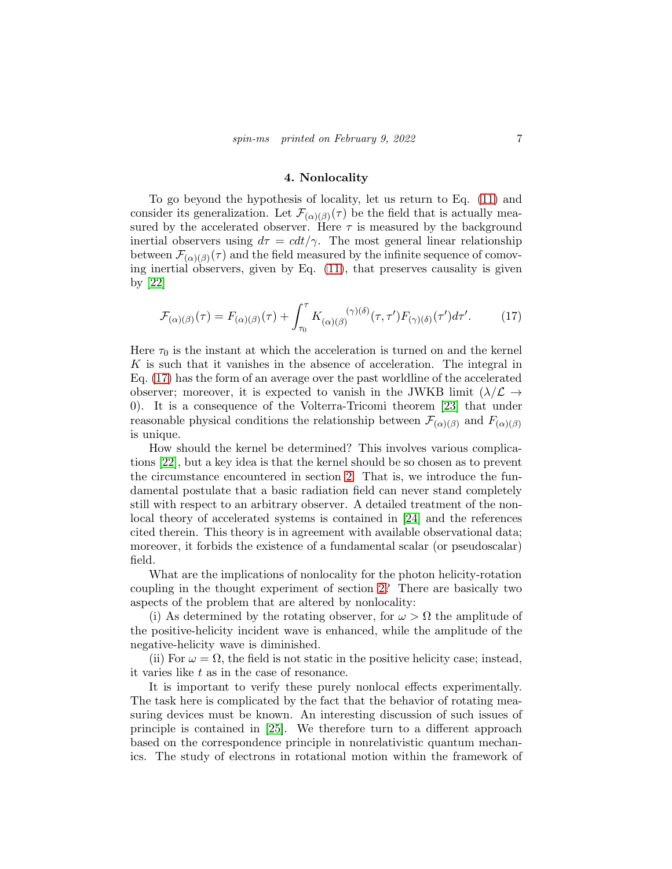## 4. Nonlocality

To go beyond the hypothesis of locality, let us return to Eq. [\(11\)](#page-3-3) and consider its generalization. Let  $\mathcal{F}_{(\alpha)(\beta)}(\tau)$  be the field that is actually measured by the accelerated observer. Here  $\tau$  is measured by the background inertial observers using  $d\tau = c dt / \gamma$ . The most general linear relationship between  $\mathcal{F}_{(\alpha)(\beta)}(\tau)$  and the field measured by the infinite sequence of comoving inertial observers, given by Eq. [\(11\)](#page-3-3), that preserves causality is given by [\[22\]](#page-8-21)

<span id="page-6-0"></span>
$$
\mathcal{F}_{(\alpha)(\beta)}(\tau) = F_{(\alpha)(\beta)}(\tau) + \int_{\tau_0}^{\tau} K_{(\alpha)(\beta)}(\gamma)(\delta)(\tau, \tau') F_{(\gamma)(\delta)}(\tau') d\tau'. \tag{17}
$$

Here  $\tau_0$  is the instant at which the acceleration is turned on and the kernel K is such that it vanishes in the absence of acceleration. The integral in Eq. [\(17\)](#page-6-0) has the form of an average over the past worldline of the accelerated observer; moreover, it is expected to vanish in the JWKB limit  $(\lambda/\mathcal{L} \rightarrow$ 0). It is a consequence of the Volterra-Tricomi theorem [\[23\]](#page-8-22) that under reasonable physical conditions the relationship between  $\mathcal{F}_{(\alpha)(\beta)}$  and  $F_{(\alpha)(\beta)}$ is unique.

How should the kernel be determined? This involves various complications [\[22\]](#page-8-21), but a key idea is that the kernel should be so chosen as to prevent the circumstance encountered in section [2.](#page-2-0) That is, we introduce the fundamental postulate that a basic radiation field can never stand completely still with respect to an arbitrary observer. A detailed treatment of the nonlocal theory of accelerated systems is contained in [\[24\]](#page-9-0) and the references cited therein. This theory is in agreement with available observational data; moreover, it forbids the existence of a fundamental scalar (or pseudoscalar) field.

What are the implications of nonlocality for the photon helicity-rotation coupling in the thought experiment of section [2?](#page-2-0) There are basically two aspects of the problem that are altered by nonlocality:

(i) As determined by the rotating observer, for  $\omega > \Omega$  the amplitude of the positive-helicity incident wave is enhanced, while the amplitude of the negative-helicity wave is diminished.

(ii) For  $\omega = \Omega$ , the field is not static in the positive helicity case; instead, it varies like t as in the case of resonance.

It is important to verify these purely nonlocal effects experimentally. The task here is complicated by the fact that the behavior of rotating measuring devices must be known. An interesting discussion of such issues of principle is contained in [\[25\]](#page-9-1). We therefore turn to a different approach based on the correspondence principle in nonrelativistic quantum mechanics. The study of electrons in rotational motion within the framework of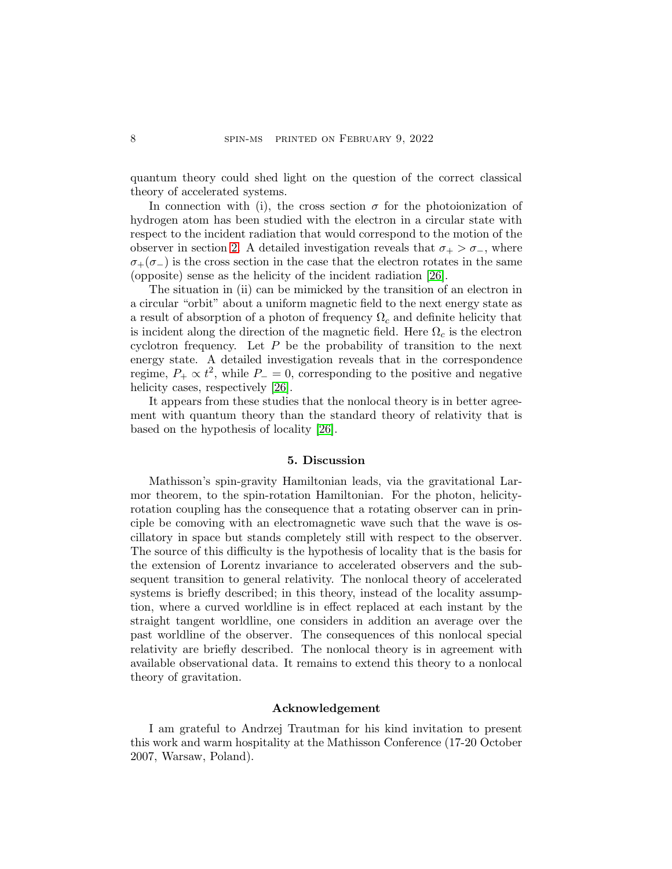quantum theory could shed light on the question of the correct classical theory of accelerated systems.

In connection with (i), the cross section  $\sigma$  for the photoionization of hydrogen atom has been studied with the electron in a circular state with respect to the incident radiation that would correspond to the motion of the observer in section [2.](#page-2-0) A detailed investigation reveals that  $\sigma_+ > \sigma_-$ , where  $\sigma_{+}(\sigma_{-})$  is the cross section in the case that the electron rotates in the same (opposite) sense as the helicity of the incident radiation [\[26\]](#page-9-2).

The situation in (ii) can be mimicked by the transition of an electron in a circular "orbit" about a uniform magnetic field to the next energy state as a result of absorption of a photon of frequency  $\Omega_c$  and definite helicity that is incident along the direction of the magnetic field. Here  $\Omega_c$  is the electron cyclotron frequency. Let  $P$  be the probability of transition to the next energy state. A detailed investigation reveals that in the correspondence regime,  $P_+ \propto t^2$ , while  $P_- = 0$ , corresponding to the positive and negative helicity cases, respectively [\[26\]](#page-9-2).

It appears from these studies that the nonlocal theory is in better agreement with quantum theory than the standard theory of relativity that is based on the hypothesis of locality [\[26\]](#page-9-2).

## 5. Discussion

Mathisson's spin-gravity Hamiltonian leads, via the gravitational Larmor theorem, to the spin-rotation Hamiltonian. For the photon, helicityrotation coupling has the consequence that a rotating observer can in principle be comoving with an electromagnetic wave such that the wave is oscillatory in space but stands completely still with respect to the observer. The source of this difficulty is the hypothesis of locality that is the basis for the extension of Lorentz invariance to accelerated observers and the subsequent transition to general relativity. The nonlocal theory of accelerated systems is briefly described; in this theory, instead of the locality assumption, where a curved worldline is in effect replaced at each instant by the straight tangent worldline, one considers in addition an average over the past worldline of the observer. The consequences of this nonlocal special relativity are briefly described. The nonlocal theory is in agreement with available observational data. It remains to extend this theory to a nonlocal theory of gravitation.

# Acknowledgement

I am grateful to Andrzej Trautman for his kind invitation to present this work and warm hospitality at the Mathisson Conference (17-20 October 2007, Warsaw, Poland).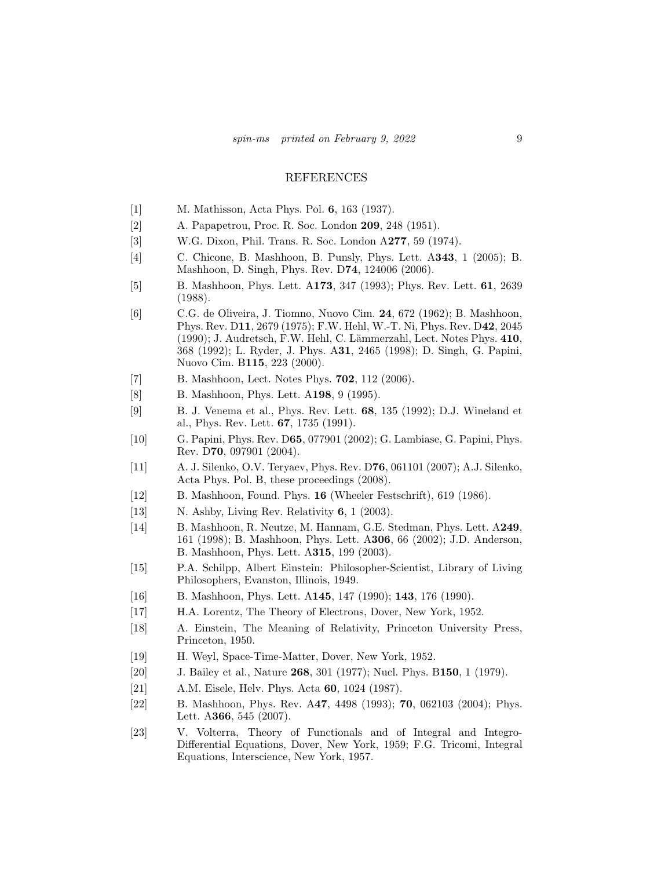## REFERENCES

- <span id="page-8-0"></span>[1] M. Mathisson, Acta Phys. Pol. 6, 163 (1937).
- <span id="page-8-1"></span>[2] A. Papapetrou, Proc. R. Soc. London 209, 248 (1951).
- <span id="page-8-2"></span>[3] W.G. Dixon, Phil. Trans. R. Soc. London A277, 59 (1974).
- <span id="page-8-3"></span>[4] C. Chicone, B. Mashhoon, B. Punsly, Phys. Lett. A343, 1 (2005); B. Mashhoon, D. Singh, Phys. Rev. D74, 124006 (2006).
- <span id="page-8-4"></span>[5] B. Mashhoon, Phys. Lett. A173, 347 (1993); Phys. Rev. Lett. 61, 2639 (1988).
- <span id="page-8-5"></span>[6] C.G. de Oliveira, J. Tiomno, Nuovo Cim. 24, 672 (1962); B. Mashhoon, Phys. Rev. D11, 2679 (1975); F.W. Hehl, W.-T. Ni, Phys. Rev. D42, 2045  $(1990)$ ; J. Audretsch, F.W. Hehl, C. Lämmerzahl, Lect. Notes Phys.  $410$ , 368 (1992); L. Ryder, J. Phys. A31, 2465 (1998); D. Singh, G. Papini, Nuovo Cim. B115, 223 (2000).
- <span id="page-8-6"></span>[7] B. Mashhoon, Lect. Notes Phys. **702**, 112 (2006).
- <span id="page-8-7"></span>[8] B. Mashhoon, Phys. Lett. A198, 9 (1995).
- <span id="page-8-8"></span>[9] B. J. Venema et al., Phys. Rev. Lett. 68, 135 (1992); D.J. Wineland et al., Phys. Rev. Lett. 67, 1735 (1991).
- <span id="page-8-9"></span>[10] G. Papini, Phys. Rev. D65, 077901 (2002); G. Lambiase, G. Papini, Phys. Rev. D70, 097901 (2004).
- <span id="page-8-10"></span>[11] A. J. Silenko, O.V. Teryaev, Phys. Rev. D76, 061101 (2007); A.J. Silenko, Acta Phys. Pol. B, these proceedings (2008).
- <span id="page-8-11"></span>[12] B. Mashhoon, Found. Phys. 16 (Wheeler Festschrift), 619 (1986).
- <span id="page-8-12"></span>[13] N. Ashby, Living Rev. Relativity **6**, 1 (2003).
- <span id="page-8-13"></span>[14] B. Mashhoon, R. Neutze, M. Hannam, G.E. Stedman, Phys. Lett. A249, 161 (1998); B. Mashhoon, Phys. Lett. A306, 66 (2002); J.D. Anderson, B. Mashhoon, Phys. Lett. A315, 199 (2003).
- <span id="page-8-14"></span>[15] P.A. Schilpp, Albert Einstein: Philosopher-Scientist, Library of Living Philosophers, Evanston, Illinois, 1949.
- <span id="page-8-15"></span>[16] B. Mashhoon, Phys. Lett. A145, 147 (1990); 143, 176 (1990).
- <span id="page-8-16"></span>[17] H.A. Lorentz, The Theory of Electrons, Dover, New York, 1952.
- <span id="page-8-17"></span>[18] A. Einstein, The Meaning of Relativity, Princeton University Press, Princeton, 1950.
- <span id="page-8-18"></span>[19] H. Weyl, Space-Time-Matter, Dover, New York, 1952.
- <span id="page-8-19"></span>[20] J. Bailey et al., Nature **268**, 301 (1977); Nucl. Phys. B150, 1 (1979).
- <span id="page-8-20"></span>[21] A.M. Eisele, Helv. Phys. Acta 60, 1024 (1987).
- <span id="page-8-21"></span>[22] B. Mashhoon, Phys. Rev. A47, 4498 (1993); 70, 062103 (2004); Phys. Lett. A366, 545 (2007).
- <span id="page-8-22"></span>[23] V. Volterra, Theory of Functionals and of Integral and Integro-Differential Equations, Dover, New York, 1959; F.G. Tricomi, Integral Equations, Interscience, New York, 1957.